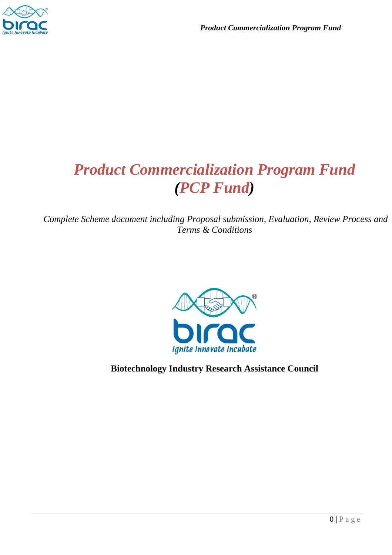

# *Product Commercialization Program Fund (PCP Fund)*

*Complete Scheme document including Proposal submission, Evaluation, Review Process and Terms & Conditions* 



## **Biotechnology Industry Research Assistance Council**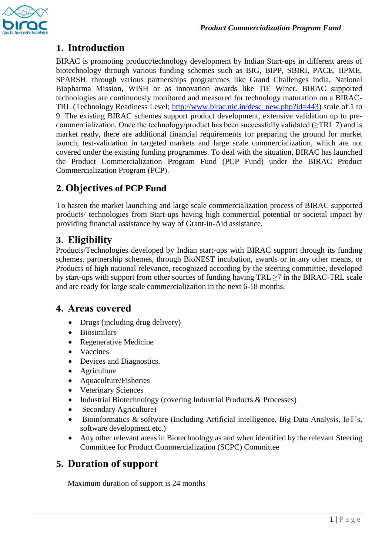# **1. Introduction**

BIRAC is promoting product/technology development by Indian Start-ups in different areas of biotechnology through various funding schemes such as BIG, BIPP, SBIRI, PACE, IIPME, SPARSH, through various partnerships programmes like Grand Challenges India, National Biopharma Mission, WISH or as innovation awards like TiE Winer. BIRAC supported technologies are continuously monitored and measured for technology maturation on a BIRAC-TRL (Technology Readiness Level; [http://www.birac.nic.in/desc\\_new.php?id=443\)](http://www.birac.nic.in/desc_new.php?id=443) scale of 1 to 9. The existing BIRAC schemes support product development, extensive validation up to precommercialization. Once the technology/product has been successfully validated ( $\geq$ TRL 7) and is market ready, there are additional financial requirements for preparing the ground for market launch, test-validation in targeted markets and large scale commercialization, which are not covered under the existing funding programmes. To deal with the situation, BIRAC has launched the Product Commercialization Program Fund (PCP Fund) under the BIRAC Product Commercialization Program (PCP).

# **2. Objectives of PCP Fund**

To hasten the market launching and large scale commercialization process of BIRAC supported products/ technologies from Start-ups having high commercial potential or societal impact by providing financial assistance by way of Grant-in-Aid assistance.

# **3. Eligibility**

Products/Technologies developed by Indian start-ups with BIRAC support through its funding schemes, partnership schemes, through BioNEST incubation, awards or in any other means, or Products of high national relevance, recognized according by the steering committee, developed by start-ups with support from other sources of funding having  $TRL \ge 7$  in the BIRAC-TRL scale and are ready for large scale commercialization in the next 6-18 months.

#### **4. Areas covered**

- Drugs (including drug delivery)
- Biosimilars
- Regenerative Medicine
- Vaccines
- Devices and Diagnostics.
- Agriculture
- Aquaculture/Fisheries
- Veterinary Sciences
- Industrial Biotechnology (covering Industrial Products & Processes)
- Secondary Agriculture)
- Bioinformatics & software (Including Artificial intelligence, Big Data Analysis, IoT's, software development etc.)
- Any other relevant areas in Biotechnology as and when identified by the relevant Steering Committee for Product Commercialization (SCPC) Committee

## **5. Duration of support**

Maximum duration of support is 24 months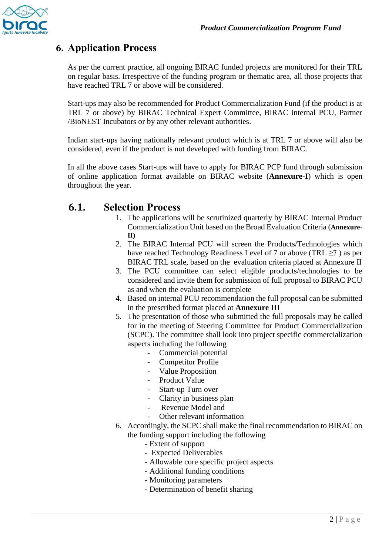

# **6. Application Process**

As per the current practice, all ongoing BIRAC funded projects are monitored for their TRL on regular basis. Irrespective of the funding program or thematic area, all those projects that have reached TRL 7 or above will be considered.

Start-ups may also be recommended for Product Commercialization Fund (if the product is at TRL 7 or above) by BIRAC Technical Expert Committee, BIRAC internal PCU, Partner /BioNEST Incubators or by any other relevant authorities.

Indian start-ups having nationally relevant product which is at TRL 7 or above will also be considered, even if the product is not developed with funding from BIRAC.

In all the above cases Start-ups will have to apply for BIRAC PCP fund through submission of online application format available on BIRAC website (**Annexure-I**) which is open throughout the year.

# **6.1. Selection Process**

- 1. The applications will be scrutinized quarterly by BIRAC Internal Product Commercialization Unit based on the Broad Evaluation Criteria (**Annexure-II)**
- 2. The BIRAC Internal PCU will screen the Products/Technologies which have reached Technology Readiness Level of 7 or above (TRL ≥7 ) as per BIRAC TRL scale, based on the evaluation criteria placed at Annexure II
- 3. The PCU committee can select eligible products/technologies to be considered and invite them for submission of full proposal to BIRAC PCU as and when the evaluation is complete
- **4.** Based on internal PCU recommendation the full proposal can be submitted in the prescribed format placed at **Annexure III**
- 5. The presentation of those who submitted the full proposals may be called for in the meeting of Steering Committee for Product Commercialization (SCPC). The committee shall look into project specific commercialization aspects including the following
	- Commercial potential
	- Competitor Profile
	- Value Proposition
	- Product Value
	- Start-up Turn over
	- Clarity in business plan
	- Revenue Model and
		- Other relevant information
- 6. Accordingly, the SCPC shall make the final recommendation to BIRAC on the funding support including the following
	- Extent of support
	- Expected Deliverables
	- Allowable core specific project aspects
	- Additional funding conditions
	- Monitoring parameters
	- Determination of benefit sharing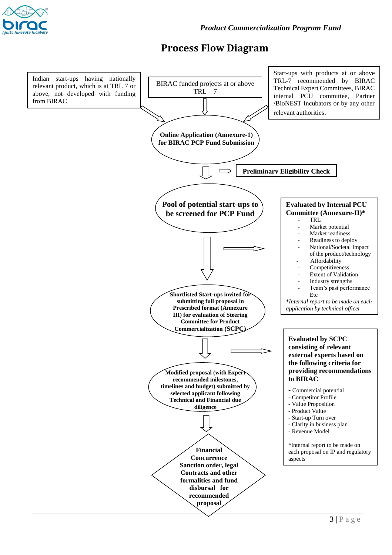

# **Process Flow Diagram**

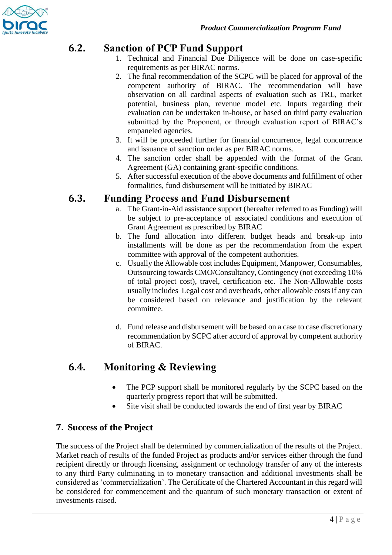

## **6.2. Sanction of PCP Fund Support**

- 1. Technical and Financial Due Diligence will be done on case-specific requirements as per BIRAC norms.
- 2. The final recommendation of the SCPC will be placed for approval of the competent authority of BIRAC. The recommendation will have observation on all cardinal aspects of evaluation such as TRL, market potential, business plan, revenue model etc. Inputs regarding their evaluation can be undertaken in-house, or based on third party evaluation submitted by the Proponent, or through evaluation report of BIRAC's empaneled agencies.
- 3. It will be proceeded further for financial concurrence, legal concurrence and issuance of sanction order as per BIRAC norms.
- 4. The sanction order shall be appended with the format of the Grant Agreement (GA) containing grant-specific conditions.
- 5. After successful execution of the above documents and fulfillment of other formalities, fund disbursement will be initiated by BIRAC

#### **6.3. Funding Process and Fund Disbursement**

- a. The Grant-in-Aid assistance support (hereafter referred to as Funding) will be subject to pre-acceptance of associated conditions and execution of Grant Agreement as prescribed by BIRAC
- b. The fund allocation into different budget heads and break-up into installments will be done as per the recommendation from the expert committee with approval of the competent authorities.
- c. Usually the Allowable cost includes Equipment, Manpower, Consumables, Outsourcing towards CMO/Consultancy, Contingency (not exceeding 10% of total project cost), travel, certification etc. The Non-Allowable costs usually includes Legal cost and overheads, other allowable costs if any can be considered based on relevance and justification by the relevant committee.
- d. Fund release and disbursement will be based on a case to case discretionary recommendation by SCPC after accord of approval by competent authority of BIRAC.

## **6.4. Monitoring & Reviewing**

- The PCP support shall be monitored regularly by the SCPC based on the quarterly progress report that will be submitted.
- Site visit shall be conducted towards the end of first year by BIRAC

#### **7. Success of the Project**

The success of the Project shall be determined by commercialization of the results of the Project. Market reach of results of the funded Project as products and/or services either through the fund recipient directly or through licensing, assignment or technology transfer of any of the interests to any third Party culminating in to monetary transaction and additional investments shall be considered as 'commercialization'. The Certificate of the Chartered Accountant in this regard will be considered for commencement and the quantum of such monetary transaction or extent of investments raised.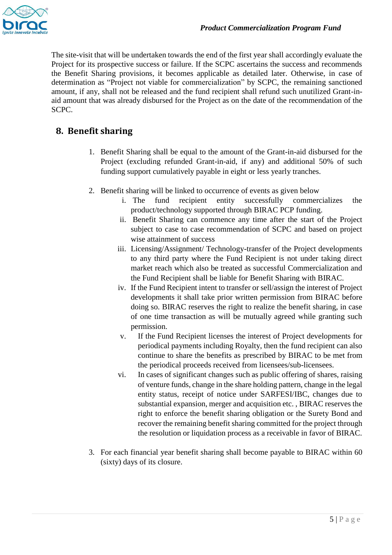

The site-visit that will be undertaken towards the end of the first year shall accordingly evaluate the Project for its prospective success or failure. If the SCPC ascertains the success and recommends the Benefit Sharing provisions, it becomes applicable as detailed later. Otherwise, in case of determination as "Project not viable for commercialization" by SCPC, the remaining sanctioned amount, if any, shall not be released and the fund recipient shall refund such unutilized Grant-inaid amount that was already disbursed for the Project as on the date of the recommendation of the SCPC.

#### **8. Benefit sharing**

- 1. Benefit Sharing shall be equal to the amount of the Grant-in-aid disbursed for the Project (excluding refunded Grant-in-aid, if any) and additional 50% of such funding support cumulatively payable in eight or less yearly tranches.
- 2. Benefit sharing will be linked to occurrence of events as given below
	- i. The fund recipient entity successfully commercializes the product/technology supported through BIRAC PCP funding.
	- ii. Benefit Sharing can commence any time after the start of the Project subject to case to case recommendation of SCPC and based on project wise attainment of success
	- iii. Licensing/Assignment/ Technology-transfer of the Project developments to any third party where the Fund Recipient is not under taking direct market reach which also be treated as successful Commercialization and the Fund Recipient shall be liable for Benefit Sharing with BIRAC.
	- iv. If the Fund Recipient intent to transfer or sell/assign the interest of Project developments it shall take prior written permission from BIRAC before doing so. BIRAC reserves the right to realize the benefit sharing, in case of one time transaction as will be mutually agreed while granting such permission.
	- v. If the Fund Recipient licenses the interest of Project developments for periodical payments including Royalty, then the fund recipient can also continue to share the benefits as prescribed by BIRAC to be met from the periodical proceeds received from licensees/sub-licensees.
	- vi. In cases of significant changes such as public offering of shares, raising of venture funds, change in the share holding pattern, change in the legal entity status, receipt of notice under SARFESI/IBC, changes due to substantial expansion, merger and acquisition etc. , BIRAC reserves the right to enforce the benefit sharing obligation or the Surety Bond and recover the remaining benefit sharing committed for the project through the resolution or liquidation process as a receivable in favor of BIRAC.
- 3. For each financial year benefit sharing shall become payable to BIRAC within 60 (sixty) days of its closure.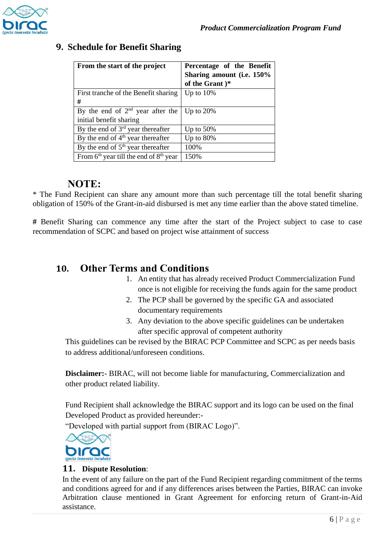

#### **9. Schedule for Benefit Sharing**

| From the start of the project              | Percentage of the Benefit |
|--------------------------------------------|---------------------------|
|                                            | Sharing amount (i.e. 150% |
|                                            | of the Grant )*           |
| First tranche of the Benefit sharing       | Up to $10\%$              |
| #                                          |                           |
| By the end of $2nd$ year after the         | Up to $20\%$              |
| initial benefit sharing                    |                           |
| By the end of $3rd$ year thereafter        | Up to $50\%$              |
| By the end of $4th$ year thereafter        | Up to $80\%$              |
| By the end of $5th$ year thereafter        | 100\%                     |
| From $6th$ year till the end of $8th$ year | 150%                      |

#### **NOTE:**

\* The Fund Recipient can share any amount more than such percentage till the total benefit sharing obligation of 150% of the Grant-in-aid disbursed is met any time earlier than the above stated timeline.

**#** Benefit Sharing can commence any time after the start of the Project subject to case to case recommendation of SCPC and based on project wise attainment of success

### **10. Other Terms and Conditions**

- 1. An entity that has already received Product Commercialization Fund once is not eligible for receiving the funds again for the same product
- 2. The PCP shall be governed by the specific GA and associated documentary requirements
- 3. Any deviation to the above specific guidelines can be undertaken after specific approval of competent authority

This guidelines can be revised by the BIRAC PCP Committee and SCPC as per needs basis to address additional/unforeseen conditions.

**Disclaimer:**- BIRAC, will not become liable for manufacturing, Commercialization and other product related liability.

Fund Recipient shall acknowledge the BIRAC support and its logo can be used on the final Developed Product as provided hereunder:-

"Developed with partial support from (BIRAC Logo)".



#### **11. Dispute Resolution**:

In the event of any failure on the part of the Fund Recipient regarding commitment of the terms and conditions agreed for and if any differences arises between the Parties, BIRAC can invoke Arbitration clause mentioned in Grant Agreement for enforcing return of Grant-in-Aid assistance.